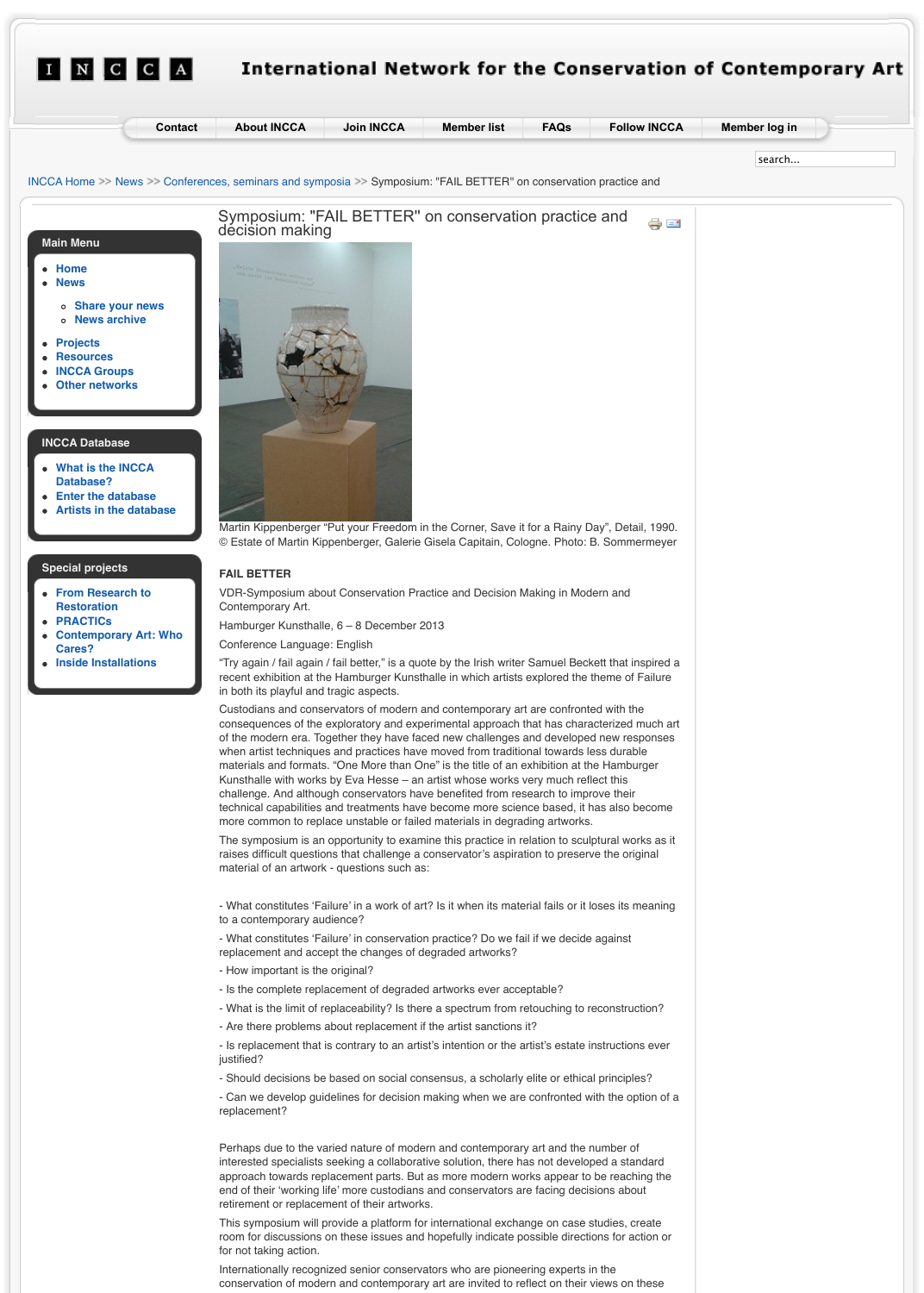## **Special projects**

- **From Research to Restoration**
- **PRACTICs**
- **Contemporary Art: Who Cares?**
- **Inside Installations**

## **FAIL BETTER**

VDR-Symposium about Conservation Practice and Decision Making in Contemporary Art.

Hamburger Kunsthalle, 6 – 8 December 2013

Conference Language: English

"Try again / fail again / fail better," is a quote by the Irish writer Samuel I [recent exhibition at th](http://www.incca.org/about-incca)[e Hamburger Kunst](http://www.incca.org/join)[halle in which artists](http://www.incca.org/member-list) explored in both its playful and tragic aspects.

Custodians and conservators of modern and contemporary art are confronted with the with the with the with the with the confronted with the confronted with the confronted with the confronted with the confronted with the con consequences of the exploratory and experimental approach that has c [of the modern era. Togethe](http://www.incca.org/news/202-conferences-seminars-and-symposia)r they have faced new challenges and devel when artist techniques and practices have moved from traditional towards when materials and formats. "One More than One" is the title of an exhibition Kunsthalle with works by Eva Hesse  $-$  an artist whose works very much challenge. And although conservators have benefited from research to technical capabilities and treatments have become more science based more common to replace unstable or failed materials in degrading artworks.

The symposium is an opportunity to examine this practice in relation to raises difficult questions that challenge a conservator's aspiration to pre material of an artwork - questions such as:

- What constitutes 'Failure' in a work of art? Is it when its material fails or to a contemporary audience?

- What constitutes 'Failure' in conservation practice? Do we fail if we de replacement and accept the changes of degraded artworks?

- How important is the original?
- Is the complete replacement of degraded artworks ever acceptable?
- What is the limit of replaceability? Is there a spectrum from retouching
- Are there problems about replacement if the artist sanctions it?

- Is replacement that is contrary to an artist's intention or the artist's est justified?

- Should decisions be based on social consensus, a scholarly elite or ethical principles

- Can we develop guidelines for decision making when we are confront replacement?

Perhaps due to the varied nature of modern and contemporary art and interested specialists seeking a collaborative solution, there has not developed a standard a standard a standa approach towards replacement parts. But as more modern works appeared to be reachend of their 'working life' more custodians and conservators are facing only retirement or replacement of their artworks.

This symposium will provide a platform for international exchange on ca room for discussions on these issues and hopefully indicate possible directions for for not taking action.

Internationally recognized senior conservators who are pioneering experts conservation of modern and contemporary art are invited to reflect on the